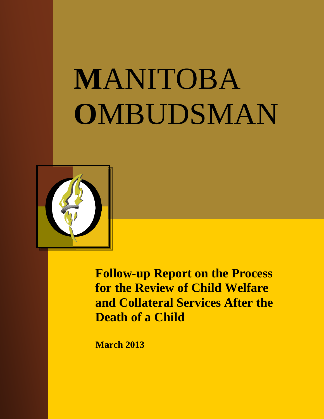# **M**ANITOBA **O**MBUDSMAN



**Follow-up Report on the Process for the Review of Child Welfare and Collateral Services After the Death of a Child**

**March 2013**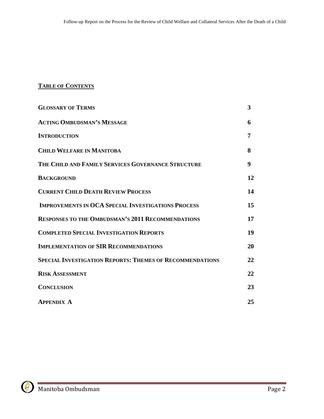# **TABLE OF CONTENTS**

| <b>GLOSSARY OF TERMS</b>                                        | 3  |
|-----------------------------------------------------------------|----|
| <b>ACTING OMBUDSMAN'S MESSAGE</b>                               | 6  |
| <b>INTRODUCTION</b>                                             | 7  |
| <b>CHILD WELFARE IN MANITOBA</b>                                | 8  |
| THE CHILD AND FAMILY SERVICES GOVERNANCE STRUCTURE              | 9  |
| <b>BACKGROUND</b>                                               | 12 |
| <b>CURRENT CHILD DEATH REVIEW PROCESS</b>                       | 14 |
| <b>IMPROVEMENTS IN OCA SPECIAL INVESTIGATIONS PROCESS</b>       | 15 |
| <b>RESPONSES TO THE OMBUDSMAN'S 2011 RECOMMENDATIONS</b>        | 17 |
| <b>COMPLETED SPECIAL INVESTIGATION REPORTS</b>                  | 19 |
| <b>IMPLEMENTATION OF SIR RECOMMENDATIONS</b>                    | 20 |
| <b>SPECIAL INVESTIGATION REPORTS: THEMES OF RECOMMENDATIONS</b> | 22 |
| <b>RISK ASSESSMENT</b>                                          | 22 |
| <b>CONCLUSION</b>                                               | 23 |
| <b>APPENDIX A</b>                                               | 25 |

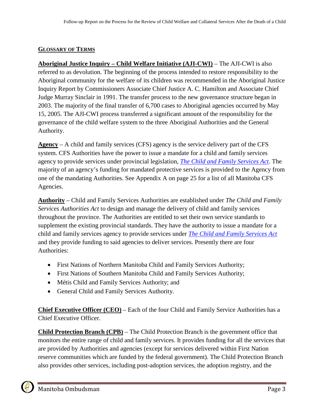## **GLOSSARY OF TERMS**

**Aboriginal Justice Inquiry – Child Welfare Initiative (AJI-CWI)** – The AJI-CWI is also referred to as devolution. The beginning of the process intended to restore responsibility to the Aboriginal community for the welfare of its children was recommended in the Aboriginal Justice Inquiry Report by Commissioners Associate Chief Justice A. C. Hamilton and Associate Chief Judge Murray Sinclair in 1991. The transfer process to the new governance structure began in 2003. The majority of the final transfer of 6,700 cases to Aboriginal agencies occurred by May 15, 2005. The AJI-CWI process transferred a significant amount of the responsibility for the governance of the child welfare system to the three Aboriginal Authorities and the General Authority.

**Agency** – A child and family services (CFS) agency is the service delivery part of the CFS system. CFS Authorities have the power to issue a mandate for a child and family services agency to provide services under provincial legislation, *[The Child and Family Services Act](http://web2.gov.mb.ca/laws/statutes/ccsm/c080e.php)*. The majority of an agency's funding for mandated protective services is provided to the Agency from one of the mandating Authorities. See Appendix A on page 25 for a list of all Manitoba CFS Agencies.

**Authority** – Child and Family Services Authorities are established under *The Child and Family Services Authorities Act* to design and manage the delivery of child and family services throughout the province. The Authorities are entitled to set their own service standards to supplement the existing provincial standards. They have the authority to issue a mandate for a child and family services agency to provide services under *[The Child and Family Services Act](http://web2.gov.mb.ca/laws/statutes/ccsm/c080e.php)* and they provide funding to said agencies to deliver services. Presently there are four Authorities:

- First Nations of Northern Manitoba Child and Family Services Authority;
- First Nations of Southern Manitoba Child and Family Services Authority;
- Métis Child and Family Services Authority; and
- General Child and Family Services Authority.

**Chief Executive Officer (CEO)** – Each of the four Child and Family Service Authorities has a Chief Executive Officer.

**Child Protection Branch (CPB)** – The Child Protection Branch is the government office that monitors the entire range of child and family services. It provides funding for all the services that are provided by Authorities and agencies (except for services delivered within First Nation reserve communities which are funded by the federal government). The Child Protection Branch also provides other services, including post-adoption services, the adoption registry, and the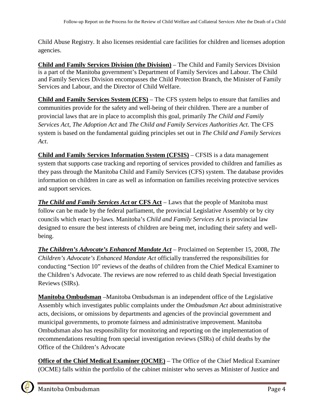Child Abuse Registry. It also licenses residential care facilities for children and licenses adoption agencies.

**Child and Family Services Division (the Division)** – The Child and Family Services Division is a part of the Manitoba government's Department of Family Services and Labour. The Child and Family Services Division encompasses the Child Protection Branch, the Minister of Family Services and Labour, and the Director of Child Welfare.

**Child and Family Services System (CFS)** – The CFS system helps to ensure that families and communities provide for the safety and well-being of their children. There are a number of provincial laws that are in place to accomplish this goal, primarily *[The Child and Family](http://web2.gov.mb.ca/laws/statutes/ccsm/c080e.php)  [Services Act](http://web2.gov.mb.ca/laws/statutes/ccsm/c080e.php)*, *[The Adoption Act](http://web2.gov.mb.ca/laws/statutes/ccsm/a002e.php)* and *[The Child and Family Services Authorities Act](http://web2.gov.mb.ca/laws/statutes/2002/c03502e.php)*. The CFS system is based on the fundamental guiding principles set out in *[The Child and Family Services](http://web2.gov.mb.ca/laws/statutes/ccsm/c080e.php)  [Act](http://web2.gov.mb.ca/laws/statutes/ccsm/c080e.php)*.

**Child and Family Services Information System (CFSIS)** – CFSIS is a data management system that supports case tracking and reporting of services provided to children and families as they pass through the Manitoba Child and Family Services (CFS) system. The database provides information on children in care as well as information on families receiving protective services and support services.

*The Child and Family Services Act* **or CFS Act** – Laws that the people of Manitoba must follow can be made by the federal parliament, the provincial Legislative Assembly or by city councils which enact by-laws. Manitoba's *Child and Family Services Act* is provincial law designed to ensure the best interests of children are being met, including their safety and wellbeing.

*The Children's Advocate's Enhanced Mandate Act* – Proclaimed on September 15, 2008, *The Children's Advocate's Enhanced Mandate Act* officially transferred the responsibilities for conducting "Section 10" reviews of the deaths of children from the Chief Medical Examiner to the Children's Advocate. The reviews are now referred to as child death Special Investigation Reviews (SIRs).

**Manitoba Ombudsman** –Manitoba Ombudsman is an independent office of the Legislative Assembly which investigates public complaints under the *Ombudsman Act* about administrative acts, decisions, or omissions by departments and agencies of the provincial government and municipal governments, to promote fairness and administrative improvement. Manitoba Ombudsman also has responsibility for monitoring and reporting on the implementation of recommendations resulting from special investigation reviews (SIRs) of child deaths by the Office of the Children's Advocate

**Office of the Chief Medical Examiner (OCME)** – The Office of the Chief Medical Examiner (OCME) falls within the portfolio of the cabinet minister who serves as Minister of Justice and

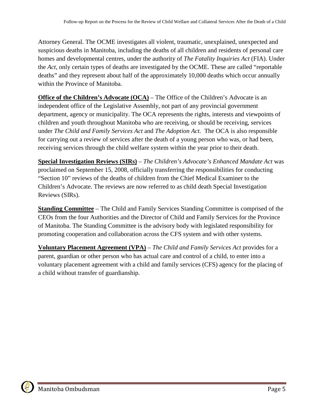Attorney General. The OCME investigates all violent, traumatic, unexplained, unexpected and suspicious deaths in Manitoba, including the deaths of all children and residents of personal care homes and developmental centres, under the authority of *The Fatality Inquiries Act* (FIA). Under the *Act*, only certain types of deaths are investigated by the OCME. These are called "reportable deaths" and they represent about half of the approximately 10,000 deaths which occur annually within the Province of Manitoba.

**Office of the Children's Advocate (OCA)** – The Office of the Children's Advocate is an independent office of the Legislative Assembly, not part of any provincial government department, agency or municipality. The OCA represents the rights, interests and viewpoints of children and youth throughout Manitoba who are receiving, or should be receiving, services under *The Child and Family Services Act* and *The Adoption Act.* The OCA is also responsible for carrying out a review of services after the death of a young person who was, or had been, receiving services through the child welfare system within the year prior to their death.

**Special Investigation Reviews (SIRs)** – *The Children's Advocate's Enhanced Mandate Act* was proclaimed on September 15, 2008, officially transferring the responsibilities for conducting "Section 10" reviews of the deaths of children from the Chief Medical Examiner to the Children's Advocate. The reviews are now referred to as child death Special Investigation Reviews (SIRs).

**Standing Committee** – The Child and Family Services Standing Committee is comprised of the CEOs from the four Authorities and the Director of Child and Family Services for the Province of Manitoba. The Standing Committee is the advisory body with legislated responsibility for promoting cooperation and collaboration across the CFS system and with other systems.

**Voluntary Placement Agreement (VPA)** – *The Child and Family Services Act* provides for a parent, guardian or other person who has actual care and control of a child, to enter into a voluntary placement agreement with a child and family services (CFS) agency for the placing of a child without transfer of guardianship.

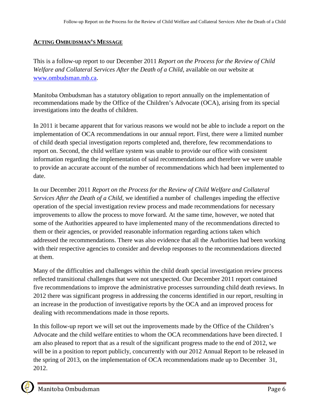#### **ACTING OMBUDSMAN'S MESSAGE**

This is a follow-up report to our December 2011 *Report on the Process for the Review of Child Welfare and Collateral Services After the Death of a Child,* available on our website at [www.ombudsman.mb.ca.](http://www.ombudsman.mb.ca/)

Manitoba Ombudsman has a statutory obligation to report annually on the implementation of recommendations made by the Office of the Children's Advocate (OCA), arising from its special investigations into the deaths of children.

In 2011 it became apparent that for various reasons we would not be able to include a report on the implementation of OCA recommendations in our annual report. First, there were a limited number of child death special investigation reports completed and, therefore, few recommendations to report on. Second, the child welfare system was unable to provide our office with consistent information regarding the implementation of said recommendations and therefore we were unable to provide an accurate account of the number of recommendations which had been implemented to date.

In our December 2011 *Report on the Process for the Review of Child Welfare and Collateral Services After the Death of a Child,* we identified a number of challenges impeding the effective operation of the special investigation review process and made recommendations for necessary improvements to allow the process to move forward. At the same time, however, we noted that some of the Authorities appeared to have implemented many of the recommendations directed to them or their agencies, or provided reasonable information regarding actions taken which addressed the recommendations. There was also evidence that all the Authorities had been working with their respective agencies to consider and develop responses to the recommendations directed at them.

Many of the difficulties and challenges within the child death special investigation review process reflected transitional challenges that were not unexpected. Our December 2011 report contained five recommendations to improve the administrative processes surrounding child death reviews. In 2012 there was significant progress in addressing the concerns identified in our report, resulting in an increase in the production of investigative reports by the OCA and an improved process for dealing with recommendations made in those reports.

In this follow-up report we will set out the improvements made by the Office of the Children's Advocate and the child welfare entities to whom the OCA recommendations have been directed. I am also pleased to report that as a result of the significant progress made to the end of 2012, we will be in a position to report publicly, concurrently with our 2012 Annual Report to be released in the spring of 2013, on the implementation of OCA recommendations made up to December 31, 2012.

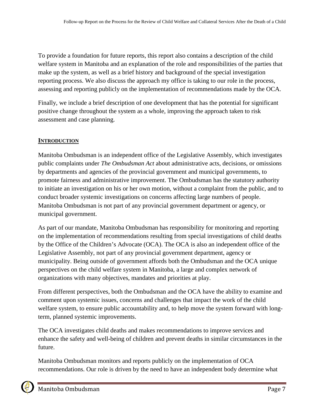To provide a foundation for future reports, this report also contains a description of the child welfare system in Manitoba and an explanation of the role and responsibilities of the parties that make up the system, as well as a brief history and background of the special investigation reporting process. We also discuss the approach my office is taking to our role in the process, assessing and reporting publicly on the implementation of recommendations made by the OCA.

Finally, we include a brief description of one development that has the potential for significant positive change throughout the system as a whole, improving the approach taken to risk assessment and case planning.

## **INTRODUCTION**

Manitoba Ombudsman is an independent office of the Legislative Assembly, which investigates public complaints under *The Ombudsman Act* about administrative acts, decisions, or omissions by departments and agencies of the provincial government and municipal governments, to promote fairness and administrative improvement. The Ombudsman has the statutory authority to initiate an investigation on his or her own motion, without a complaint from the public, and to conduct broader systemic investigations on concerns affecting large numbers of people. Manitoba Ombudsman is not part of any provincial government department or agency, or municipal government.

As part of our mandate, Manitoba Ombudsman has responsibility for monitoring and reporting on the implementation of recommendations resulting from special investigations of child deaths by the Office of the Children's Advocate (OCA). The OCA is also an independent office of the Legislative Assembly, not part of any provincial government department, agency or municipality. Being outside of government affords both the Ombudsman and the OCA unique perspectives on the child welfare system in Manitoba, a large and complex network of organizations with many objectives, mandates and priorities at play.

From different perspectives, both the Ombudsman and the OCA have the ability to examine and comment upon systemic issues, concerns and challenges that impact the work of the child welfare system, to ensure public accountability and, to help move the system forward with longterm, planned systemic improvements.

The OCA investigates child deaths and makes recommendations to improve services and enhance the safety and well-being of children and prevent deaths in similar circumstances in the future.

Manitoba Ombudsman monitors and reports publicly on the implementation of OCA recommendations. Our role is driven by the need to have an independent body determine what

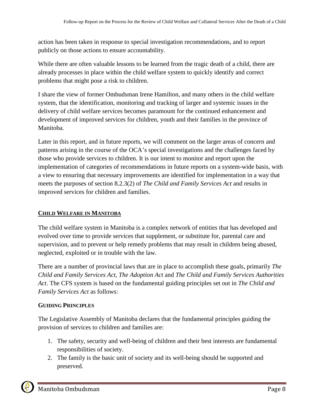action has been taken in response to special investigation recommendations, and to report publicly on those actions to ensure accountability.

While there are often valuable lessons to be learned from the tragic death of a child, there are already processes in place within the child welfare system to quickly identify and correct problems that might pose a risk to children.

I share the view of former Ombudsman Irene Hamilton, and many others in the child welfare system, that the identification, monitoring and tracking of larger and systemic issues in the delivery of child welfare services becomes paramount for the continued enhancement and development of improved services for children, youth and their families in the province of Manitoba.

Later in this report, and in future reports, we will comment on the larger areas of concern and patterns arising in the course of the OCA's special investigations and the challenges faced by those who provide services to children. It is our intent to monitor and report upon the implementation of categories of recommendations in future reports on a system-wide basis, with a view to ensuring that necessary improvements are identified for implementation in a way that meets the purposes of section 8.2.3(2) of *The Child and Family Services Act* and results in improved services for children and families.

## **CHILD WELFARE IN MANITOBA**

The child welfare system in Manitoba is a complex network of entities that has developed and evolved over time to provide services that supplement, or substitute for, parental care and supervision, and to prevent or help remedy problems that may result in children being abused, neglected, exploited or in trouble with the law.

There are a number of provincial laws that are in place to accomplish these goals, primarily *[The](http://web2.gov.mb.ca/laws/statutes/ccsm/c080e.php)  [Child and Family Services Act](http://web2.gov.mb.ca/laws/statutes/ccsm/c080e.php)*, *[The Adoption Act](http://web2.gov.mb.ca/laws/statutes/ccsm/a002e.php)* and *[The Child and Family Services Authorities](http://web2.gov.mb.ca/laws/statutes/2002/c03502e.php)  [Act](http://web2.gov.mb.ca/laws/statutes/2002/c03502e.php)*. The CFS system is based on the fundamental guiding principles set out in *[The Child and](http://web2.gov.mb.ca/laws/statutes/ccsm/c080e.php)  [Family Services Act](http://web2.gov.mb.ca/laws/statutes/ccsm/c080e.php)* as follows:

## **GUIDING PRINCIPLES**

The Legislative Assembly of Manitoba declares that the fundamental principles guiding the provision of services to children and families are:

- 1. The safety, security and well-being of children and their best interests are fundamental responsibilities of society.
- 2. The family is the basic unit of society and its well-being should be supported and preserved.

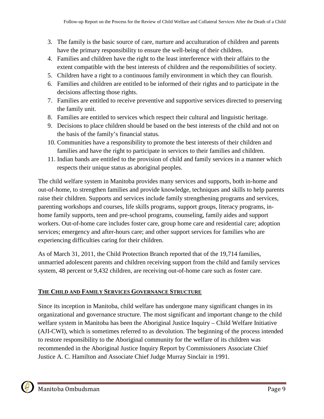- 3. The family is the basic source of care, nurture and acculturation of children and parents have the primary responsibility to ensure the well-being of their children.
- 4. Families and children have the right to the least interference with their affairs to the extent compatible with the best interests of children and the responsibilities of society.
- 5. Children have a right to a continuous family environment in which they can flourish.
- 6. Families and children are entitled to be informed of their rights and to participate in the decisions affecting those rights.
- 7. Families are entitled to receive preventive and supportive services directed to preserving the family unit.
- 8. Families are entitled to services which respect their cultural and linguistic heritage.
- 9. Decisions to place children should be based on the best interests of the child and not on the basis of the family's financial status.
- 10. Communities have a responsibility to promote the best interests of their children and families and have the right to participate in services to their families and children.
- 11. Indian bands are entitled to the provision of child and family services in a manner which respects their unique status as aboriginal peoples.

The child welfare system in Manitoba provides many services and supports, both in-home and out-of-home, to strengthen families and provide knowledge, techniques and skills to help parents raise their children. Supports and services include family strengthening programs and services, parenting workshops and courses, life skills programs, support groups, literacy programs, inhome family supports, teen and pre-school programs, counseling, family aides and support workers. Out-of-home care includes foster care, group home care and residential care; adoption services; emergency and after-hours care; and other support services for families who are experiencing difficulties caring for their children.

As of March 31, 2011, the Child Protection Branch reported that of the 19,714 families, unmarried adolescent parents and children receiving support from the child and family services system, 48 percent or 9,432 children, are receiving out-of-home care such as foster care.

# **THE CHILD AND FAMILY SERVICES GOVERNANCE STRUCTURE**

Since its inception in Manitoba, child welfare has undergone many significant changes in its organizational and governance structure. The most significant and important change to the child welfare system in Manitoba has been the Aboriginal Justice Inquiry – Child Welfare Initiative (AJI-CWI), which is sometimes referred to as devolution. The beginning of the process intended to restore responsibility to the Aboriginal community for the welfare of its children was recommended in the Aboriginal Justice Inquiry Report by Commissioners Associate Chief Justice A. C. Hamilton and Associate Chief Judge Murray Sinclair in 1991.

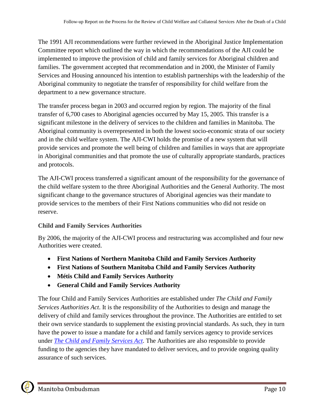The 1991 AJI recommendations were further reviewed in the Aboriginal Justice Implementation Committee report which outlined the way in which the recommendations of the AJI could be implemented to improve the provision of child and family services for Aboriginal children and families. The government accepted that recommendation and in 2000, the Minister of Family Services and Housing announced his intention to establish partnerships with the leadership of the Aboriginal community to negotiate the transfer of responsibility for child welfare from the department to a new governance structure.

The transfer process began in 2003 and occurred region by region. The majority of the final transfer of 6,700 cases to Aboriginal agencies occurred by May 15, 2005. This transfer is a significant milestone in the delivery of services to the children and families in Manitoba. The Aboriginal community is overrepresented in both the lowest socio-economic strata of our society and in the child welfare system. The AJI-CWI holds the promise of a new system that will provide services and promote the well being of children and families in ways that are appropriate in Aboriginal communities and that promote the use of culturally appropriate standards, practices and protocols.

The AJI-CWI process transferred a significant amount of the responsibility for the governance of the child welfare system to the three Aboriginal Authorities and the General Authority. The most significant change to the governance structures of Aboriginal agencies was their mandate to provide services to the members of their First Nations communities who did not reside on reserve.

# **Child and Family Services Authorities**

By 2006, the majority of the AJI-CWI process and restructuring was accomplished and four new Authorities were created.

- **First Nations of Northern Manitoba Child and Family Services Authority**
- **First Nations of Southern Manitoba Child and Family Services Authority**
- **Métis Child and Family Services Authority**
- **General Child and Family Services Authority**

The four Child and Family Services Authorities are established under *The Child and Family Services Authorities Act*. It is the responsibility of the Authorities to design and manage the delivery of child and family services throughout the province. The Authorities are entitled to set their own service standards to supplement the existing provincial standards. As such, they in turn have the power to issue a mandate for a child and family services agency to provide services under *[The Child and Family Services Act](http://web2.gov.mb.ca/laws/statutes/ccsm/c080e.php)*. The Authorities are also responsible to provide funding to the agencies they have mandated to deliver services, and to provide ongoing quality assurance of such services.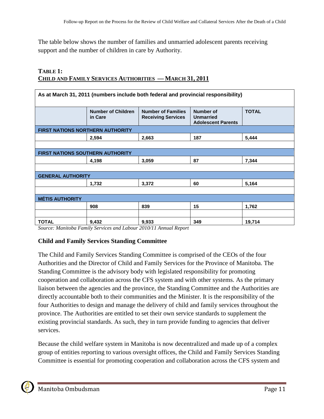The table below shows the number of families and unmarried adolescent parents receiving support and the number of children in care by Authority.

#### **TABLE 1: CHILD AND FAMILY SERVICES AUTHORITIES — MARCH 31, 2011**

| As at March 31, 2011 (numbers include both federal and provincial responsibility) |                                      |                                                        |                                                                   |              |  |  |  |
|-----------------------------------------------------------------------------------|--------------------------------------|--------------------------------------------------------|-------------------------------------------------------------------|--------------|--|--|--|
|                                                                                   | <b>Number of Children</b><br>in Care | <b>Number of Families</b><br><b>Receiving Services</b> | <b>Number of</b><br><b>Unmarried</b><br><b>Adolescent Parents</b> | <b>TOTAL</b> |  |  |  |
| <b>FIRST NATIONS NORTHERN AUTHORITY</b>                                           |                                      |                                                        |                                                                   |              |  |  |  |
|                                                                                   | 2,594                                | 2,663                                                  | 187                                                               | 5,444        |  |  |  |
|                                                                                   |                                      |                                                        |                                                                   |              |  |  |  |
| <b>FIRST NATIONS SOUTHERN AUTHORITY</b>                                           |                                      |                                                        |                                                                   |              |  |  |  |
|                                                                                   | 4,198                                | 3,059                                                  | 87                                                                | 7,344        |  |  |  |
|                                                                                   |                                      |                                                        |                                                                   |              |  |  |  |
| <b>GENERAL AUTHORITY</b>                                                          |                                      |                                                        |                                                                   |              |  |  |  |
|                                                                                   | 1,732                                | 3,372                                                  | 60                                                                | 5,164        |  |  |  |
|                                                                                   |                                      |                                                        |                                                                   |              |  |  |  |
| <b>MÉTIS AUTHORITY</b>                                                            |                                      |                                                        |                                                                   |              |  |  |  |
|                                                                                   | 908                                  | 839                                                    | 15                                                                | 1,762        |  |  |  |
|                                                                                   |                                      |                                                        |                                                                   |              |  |  |  |
| <b>TOTAL</b>                                                                      | 9,432                                | 9,933                                                  | 349                                                               | 19,714       |  |  |  |

*Source: Manitoba Family Services and Labour 2010/11 Annual Report*

#### **Child and Family Services Standing Committee**

The Child and Family Services Standing Committee is comprised of the CEOs of the four Authorities and the Director of Child and Family Services for the Province of Manitoba. The Standing Committee is the advisory body with legislated responsibility for promoting cooperation and collaboration across the CFS system and with other systems. As the primary liaison between the agencies and the province, the Standing Committee and the Authorities are directly accountable both to their communities and the Minister. It is the responsibility of the four Authorities to design and manage the delivery of child and family services throughout the province. The Authorities are entitled to set their own service standards to supplement the existing provincial standards. As such, they in turn provide funding to agencies that deliver services.

Because the child welfare system in Manitoba is now decentralized and made up of a complex group of entities reporting to various oversight offices, the Child and Family Services Standing Committee is essential for promoting cooperation and collaboration across the CFS system and

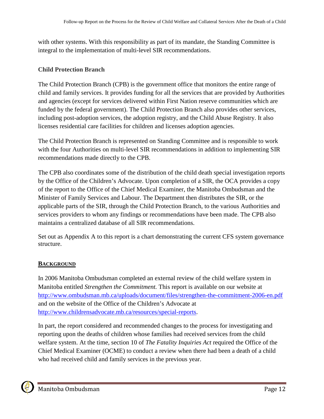with other systems. With this responsibility as part of its mandate, the Standing Committee is integral to the implementation of multi-level SIR recommendations.

### **Child Protection Branch**

The Child Protection Branch (CPB) is the government office that monitors the entire range of child and family services. It provides funding for all the services that are provided by Authorities and agencies (except for services delivered within First Nation reserve communities which are funded by the federal government). The Child Protection Branch also provides other services, including post-adoption services, the adoption registry, and the Child Abuse Registry. It also licenses residential care facilities for children and licenses adoption agencies.

The Child Protection Branch is represented on Standing Committee and is responsible to work with the four Authorities on multi-level SIR recommendations in addition to implementing SIR recommendations made directly to the CPB.

The CPB also coordinates some of the distribution of the child death special investigation reports by the Office of the Children's Advocate. Upon completion of a SIR, the OCA provides a copy of the report to the Office of the Chief Medical Examiner, the Manitoba Ombudsman and the Minister of Family Services and Labour. The Department then distributes the SIR, or the applicable parts of the SIR, through the Child Protection Branch, to the various Authorities and services providers to whom any findings or recommendations have been made. The CPB also maintains a centralized database of all SIR recommendations.

Set out as Appendix A to this report is a chart demonstrating the current CFS system governance structure.

## **BACKGROUND**

In 2006 Manitoba Ombudsman completed an external review of the child welfare system in Manitoba entitled *Strengthen the Commitment.* This report is available on our website at <http://www.ombudsman.mb.ca/uploads/document/files/strengthen-the-commitment-2006-en.pdf> and on the website of the Office of the Children's Advocate at [http://www.childrensadvocate.mb.ca/resources/special-reports.](http://www.childrensadvocate.mb.ca/resources/special-reports)

In part, the report considered and recommended changes to the process for investigating and reporting upon the deaths of children whose families had received services from the child welfare system. At the time, section 10 of *The Fatality Inquiries Act* required the Office of the Chief Medical Examiner (OCME) to conduct a review when there had been a death of a child who had received child and family services in the previous year.

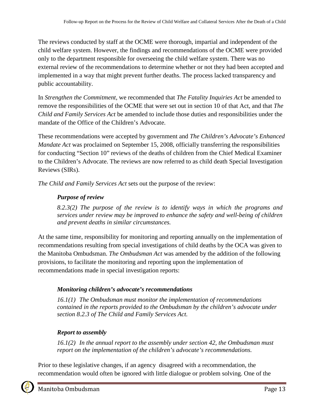The reviews conducted by staff at the OCME were thorough, impartial and independent of the child welfare system. However, the findings and recommendations of the OCME were provided only to the department responsible for overseeing the child welfare system. There was no external review of the recommendations to determine whether or not they had been accepted and implemented in a way that might prevent further deaths. The process lacked transparency and public accountability.

In *Strengthen the Commitment*, we recommended that *The Fatality Inquiries Act* be amended to remove the responsibilities of the OCME that were set out in section 10 of that Act, and that *The Child and Family Services Act* be amended to include those duties and responsibilities under the mandate of the Office of the Children's Advocate.

These recommendations were accepted by government and *The Children's Advocate's Enhanced Mandate Act* was proclaimed on September 15, 2008, officially transferring the responsibilities for conducting "Section 10" reviews of the deaths of children from the Chief Medical Examiner to the Children's Advocate. The reviews are now referred to as child death Special Investigation Reviews (SIRs).

*The Child and Family Services Act* sets out the purpose of the review:

## *Purpose of review*

*[8.2.3\(2\)](http://web2.gov.mb.ca/laws/statutes/2007/c01407f.php#8.2.3(2)) The purpose of the review is to identify ways in which the programs and services under review may be improved to enhance the safety and well-being of children and prevent deaths in similar circumstances.*

At the same time, responsibility for monitoring and reporting annually on the implementation of recommendations resulting from special investigations of child deaths by the OCA was given to the Manitoba Ombudsman. *The Ombudsman Act* was amended by the addition of the following provisions, to facilitate the monitoring and reporting upon the implementation of recommendations made in special investigation reports:

# *Monitoring children's advocate's recommendations*

*[16.1\(1\)](http://web2.gov.mb.ca/laws/statutes/2007/c01407f.php#16.1) The Ombudsman must monitor the implementation of recommendations contained in the reports provided to the Ombudsman by the children's advocate under section 8.2.3 of The Child and Family Services Act.*

# *Report to assembly*

*[16.1\(2\)](http://web2.gov.mb.ca/laws/statutes/2007/c01407f.php#16.1(2)) In the annual report to the assembly under section 42, the Ombudsman must report on the implementation of the children's advocate's recommendations.*

Prior to these legislative changes, if an agency disagreed with a recommendation, the recommendation would often be ignored with little dialogue or problem solving. One of the

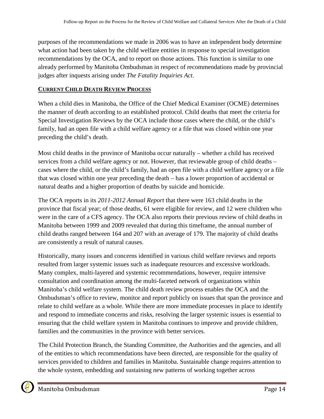purposes of the recommendations we made in 2006 was to have an independent body determine what action had been taken by the child welfare entities in response to special investigation recommendations by the OCA, and to report on those actions. This function is similar to one already performed by Manitoba Ombudsman in respect of recommendations made by provincial judges after inquests arising under *The Fatality Inquiries Act*.

## **CURRENT CHILD DEATH REVIEW PROCESS**

When a child dies in Manitoba, the Office of the Chief Medical Examiner (OCME) determines the manner of death according to an established protocol. Child deaths that meet the criteria for Special Investigation Reviews by the OCA include those cases where the child, or the child's family, had an open file with a child welfare agency or a file that was closed within one year preceding the child's death.

Most child deaths in the province of Manitoba occur naturally – whether a child has received services from a child welfare agency or not. However, that reviewable group of child deaths – cases where the child, or the child's family, had an open file with a child welfare agency or a file that was closed within one year preceding the death – has a lower proportion of accidental or natural deaths and a higher proportion of deaths by suicide and homicide.

The OCA reports in its *2011-2012 Annual Report* that there were 163 child deaths in the province that fiscal year; of those deaths, 61 were eligible for review, and 12 were children who were in the care of a CFS agency. The OCA also reports their previous review of child deaths in Manitoba between 1999 and 2009 revealed that during this timeframe, the annual number of child deaths ranged between 164 and 207 with an average of 179. The majority of child deaths are consistently a result of natural causes.

Historically, many issues and concerns identified in various child welfare reviews and reports resulted from larger systemic issues such as inadequate resources and excessive workloads. Many complex, multi-layered and systemic recommendations, however, require intensive consultation and coordination among the multi-faceted network of organizations within Manitoba's child welfare system. The child death review process enables the OCA and the Ombudsman's office to review, monitor and report publicly on issues that span the province and relate to child welfare as a whole. While there are more immediate processes in place to identify and respond to immediate concerns and risks, resolving the larger systemic issues is essential to ensuring that the child welfare system in Manitoba continues to improve and provide children, families and the communities in the province with better services.

The Child Protection Branch, the Standing Committee, the Authorities and the agencies, and all of the entities to which recommendations have been directed, are responsible for the quality of services provided to children and families in Manitoba. Sustainable change requires attention to the whole system, embedding and sustaining new patterns of working together across

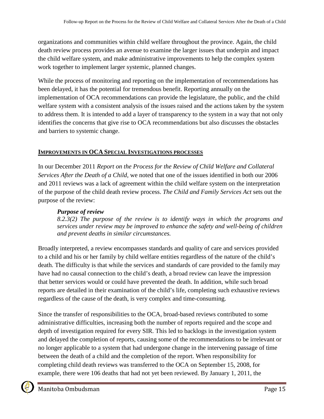organizations and communities within child welfare throughout the province. Again, the child death review process provides an avenue to examine the larger issues that underpin and impact the child welfare system, and make administrative improvements to help the complex system work together to implement larger systemic, planned changes.

While the process of monitoring and reporting on the implementation of recommendations has been delayed, it has the potential for tremendous benefit. Reporting annually on the implementation of OCA recommendations can provide the legislature, the public, and the child welfare system with a consistent analysis of the issues raised and the actions taken by the system to address them. It is intended to add a layer of transparency to the system in a way that not only identifies the concerns that give rise to OCA recommendations but also discusses the obstacles and barriers to systemic change.

## **IMPROVEMENTS IN OCA SPECIAL INVESTIGATIONS PROCESSES**

In our December 2011 *Report on the Process for the Review of Child Welfare and Collateral Services After the Death of a Child,* we noted that one of the issues identified in both our 2006 and 2011 reviews was a lack of agreement within the child welfare system on the interpretation of the purpose of the child death review process. *The Child and Family Services Act* sets out the purpose of the review:

## *Purpose of review*

*[8.2.3\(2\)](http://web2.gov.mb.ca/laws/statutes/2007/c01407f.php#8.2.3(2)) The purpose of the review is to identify ways in which the programs and services under review may be improved to enhance the safety and well-being of children and prevent deaths in similar circumstances.*

Broadly interpreted, a review encompasses standards and quality of care and services provided to a child and his or her family by child welfare entities regardless of the nature of the child's death. The difficulty is that while the services and standards of care provided to the family may have had no causal connection to the child's death, a broad review can leave the impression that better services would or could have prevented the death. In addition, while such broad reports are detailed in their examination of the child's life, completing such exhaustive reviews regardless of the cause of the death, is very complex and time-consuming.

Since the transfer of responsibilities to the OCA, broad-based reviews contributed to some administrative difficulties, increasing both the number of reports required and the scope and depth of investigation required for every SIR. This led to backlogs in the investigation system and delayed the completion of reports, causing some of the recommendations to be irrelevant or no longer applicable to a system that had undergone change in the intervening passage of time between the death of a child and the completion of the report. When responsibility for completing child death reviews was transferred to the OCA on September 15, 2008, for example, there were 106 deaths that had not yet been reviewed. By January 1, 2011, the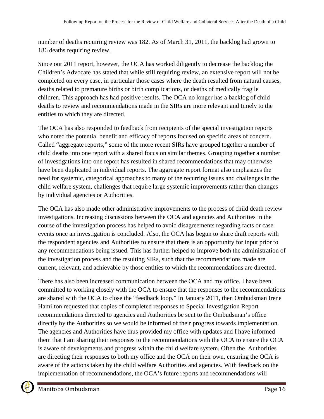number of deaths requiring review was 182. As of March 31, 2011, the backlog had grown to 186 deaths requiring review.

Since our 2011 report, however, the OCA has worked diligently to decrease the backlog; the Children's Advocate has stated that while still requiring review, an extensive report will not be completed on every case, in particular those cases where the death resulted from natural causes, deaths related to premature births or birth complications, or deaths of medically fragile children. This approach has had positive results. The OCA no longer has a backlog of child deaths to review and recommendations made in the SIRs are more relevant and timely to the entities to which they are directed.

The OCA has also responded to feedback from recipients of the special investigation reports who noted the potential benefit and efficacy of reports focused on specific areas of concern. Called "aggregate reports," some of the more recent SIRs have grouped together a number of child deaths into one report with a shared focus on similar themes. Grouping together a number of investigations into one report has resulted in shared recommendations that may otherwise have been duplicated in individual reports. The aggregate report format also emphasizes the need for systemic, categorical approaches to many of the recurring issues and challenges in the child welfare system, challenges that require large systemic improvements rather than changes by individual agencies or Authorities.

The OCA has also made other administrative improvements to the process of child death review investigations. Increasing discussions between the OCA and agencies and Authorities in the course of the investigation process has helped to avoid disagreements regarding facts or case events once an investigation is concluded. Also, the OCA has begun to share draft reports with the respondent agencies and Authorities to ensure that there is an opportunity for input prior to any recommendations being issued. This has further helped to improve both the administration of the investigation process and the resulting SIRs, such that the recommendations made are current, relevant, and achievable by those entities to which the recommendations are directed.

There has also been increased communication between the OCA and my office. I have been committed to working closely with the OCA to ensure that the responses to the recommendations are shared with the OCA to close the "feedback loop." In January 2011, then Ombudsman Irene Hamilton requested that copies of completed responses to Special Investigation Report recommendations directed to agencies and Authorities be sent to the Ombudsman's office directly by the Authorities so we would be informed of their progress towards implementation. The agencies and Authorities have thus provided my office with updates and I have informed them that I am sharing their responses to the recommendations with the OCA to ensure the OCA is aware of developments and progress within the child welfare system. Often the Authorities are directing their responses to both my office and the OCA on their own, ensuring the OCA is aware of the actions taken by the child welfare Authorities and agencies. With feedback on the implementation of recommendations, the OCA's future reports and recommendations will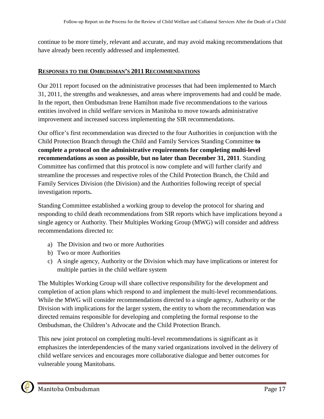continue to be more timely, relevant and accurate, and may avoid making recommendations that have already been recently addressed and implemented.

### **RESPONSES TO THE OMBUDSMAN'S 2011 RECOMMENDATIONS**

Our 2011 report focused on the administrative processes that had been implemented to March 31, 2011, the strengths and weaknesses, and areas where improvements had and could be made. In the report, then Ombudsman Irene Hamilton made five recommendations to the various entities involved in child welfare services in Manitoba to move towards administrative improvement and increased success implementing the SIR recommendations.

Our office's first recommendation was directed to the four Authorities in conjunction with the Child Protection Branch through the Child and Family Services Standing Committee **to complete a protocol on the administrative requirements for completing multi-level recommendations as soon as possible, but no later than December 31, 2011**. Standing Committee has confirmed that this protocol is now complete and will further clarify and streamline the processes and respective roles of the Child Protection Branch, the Child and Family Services Division (the Division) and the Authorities following receipt of special investigation reports**.**

Standing Committee established a working group to develop the protocol for sharing and responding to child death recommendations from SIR reports which have implications beyond a single agency or Authority. Their Multiples Working Group (MWG) will consider and address recommendations directed to:

- a) The Division and two or more Authorities
- b) Two or more Authorities
- c) A single agency, Authority or the Division which may have implications or interest for multiple parties in the child welfare system

The Multiples Working Group will share collective responsibility for the development and completion of action plans which respond to and implement the multi-level recommendations. While the MWG will consider recommendations directed to a single agency, Authority or the Division with implications for the larger system, the entity to whom the recommendation was directed remains responsible for developing and completing the formal response to the Ombudsman, the Children's Advocate and the Child Protection Branch.

This new joint protocol on completing multi-level recommendations is significant as it emphasizes the interdependencies of the many varied organizations involved in the delivery of child welfare services and encourages more collaborative dialogue and better outcomes for vulnerable young Manitobans.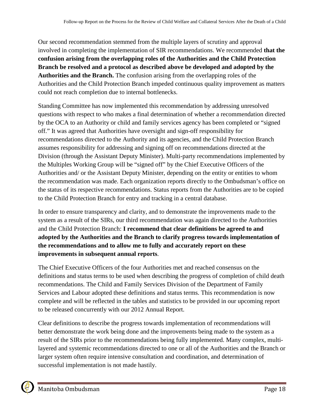Our second recommendation stemmed from the multiple layers of scrutiny and approval involved in completing the implementation of SIR recommendations. We recommended **that the confusion arising from the overlapping roles of the Authorities and the Child Protection Branch be resolved and a protocol as described above be developed and adopted by the Authorities and the Branch.** The confusion arising from the overlapping roles of the Authorities and the Child Protection Branch impeded continuous quality improvement as matters could not reach completion due to internal bottlenecks.

Standing Committee has now implemented this recommendation by addressing unresolved questions with respect to who makes a final determination of whether a recommendation directed by the OCA to an Authority or child and family services agency has been completed or "signed off." It was agreed that Authorities have oversight and sign-off responsibility for recommendations directed to the Authority and its agencies, and the Child Protection Branch assumes responsibility for addressing and signing off on recommendations directed at the Division (through the Assistant Deputy Minister). Multi-party recommendations implemented by the Multiples Working Group will be "signed off" by the Chief Executive Officers of the Authorities and/ or the Assistant Deputy Minister, depending on the entity or entities to whom the recommendation was made. Each organization reports directly to the Ombudsman's office on the status of its respective recommendations. Status reports from the Authorities are to be copied to the Child Protection Branch for entry and tracking in a central database.

In order to ensure transparency and clarity, and to demonstrate the improvements made to the system as a result of the SIRs, our third recommendation was again directed to the Authorities and the Child Protection Branch: **I recommend that clear definitions be agreed to and adopted by the Authorities and the Branch to clarify progress towards implementation of the recommendations and to allow me to fully and accurately report on these improvements in subsequent annual reports**.

The Chief Executive Officers of the four Authorities met and reached consensus on the definitions and status terms to be used when describing the progress of completion of child death recommendations. The Child and Family Services Division of the Department of Family Services and Labour adopted these definitions and status terms. This recommendation is now complete and will be reflected in the tables and statistics to be provided in our upcoming report to be released concurrently with our 2012 Annual Report.

Clear definitions to describe the progress towards implementation of recommendations will better demonstrate the work being done and the improvements being made to the system as a result of the SIRs prior to the recommendations being fully implemented. Many complex, multilayered and systemic recommendations directed to one or all of the Authorities and the Branch or larger system often require intensive consultation and coordination, and determination of successful implementation is not made hastily.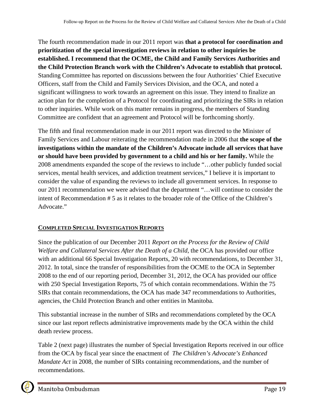The fourth recommendation made in our 2011 report was **that a protocol for coordination and prioritization of the special investigation reviews in relation to other inquiries be established. I recommend that the OCME, the Child and Family Services Authorities and the Child Protection Branch work with the Children's Advocate to establish that protocol.**  Standing Committee has reported on discussions between the four Authorities' Chief Executive Officers, staff from the Child and Family Services Division, and the OCA, and noted a significant willingness to work towards an agreement on this issue. They intend to finalize an action plan for the completion of a Protocol for coordinating and prioritizing the SIRs in relation to other inquiries. While work on this matter remains in progress, the members of Standing Committee are confident that an agreement and Protocol will be forthcoming shortly.

The fifth and final recommendation made in our 2011 report was directed to the Minister of Family Services and Labour reiterating the recommendation made in 2006 that **the scope of the investigations within the mandate of the Children's Advocate include all services that have or should have been provided by government to a child and his or her family.** While the 2008 amendments expanded the scope of the reviews to include "…other publicly funded social services, mental health services, and addiction treatment services," I believe it is important to consider the value of expanding the reviews to include all government services. In response to our 2011 recommendation we were advised that the department "…will continue to consider the intent of Recommendation # 5 as it relates to the broader role of the Office of the Children's Advocate."

## **COMPLETED SPECIAL INVESTIGATION REPORTS**

Since the publication of our December 2011 *Report on the Process for the Review of Child Welfare and Collateral Services After the Death of a Child*, the OCA has provided our office with an additional 66 Special Investigation Reports, 20 with recommendations, to December 31, 2012. In total, since the transfer of responsibilities from the OCME to the OCA in September 2008 to the end of our reporting period, December 31, 2012, the OCA has provided our office with 250 Special Investigation Reports, 75 of which contain recommendations. Within the 75 SIRs that contain recommendations, the OCA has made 347 recommendations to Authorities, agencies, the Child Protection Branch and other entities in Manitoba.

This substantial increase in the number of SIRs and recommendations completed by the OCA since our last report reflects administrative improvements made by the OCA within the child death review process.

Table 2 (next page) illustrates the number of Special Investigation Reports received in our office from the OCA by fiscal year since the enactment of *The Children's Advocate's Enhanced Mandate Act* in 2008, the number of SIRs containing recommendations, and the number of recommendations.

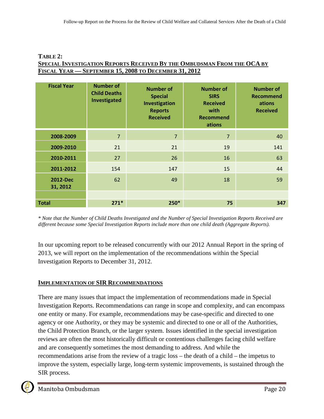#### **TABLE 2: SPECIAL INVESTIGATION REPORTS RECEIVED BY THE OMBUDSMAN FROM THE OCA BY FISCAL YEAR — SEPTEMBER 15, 2008 TO DECEMBER 31, 2012**

| <b>Fiscal Year</b>   | <b>Number of</b><br><b>Child Deaths</b><br>Investigated | <b>Number of</b><br><b>Special</b><br>Investigation<br><b>Reports</b><br><b>Received</b> | <b>Number of</b><br><b>SIRS</b><br><b>Received</b><br>with<br><b>Recommend</b><br>ations | <b>Number of</b><br><b>Recommend</b><br>ations<br><b>Received</b> |
|----------------------|---------------------------------------------------------|------------------------------------------------------------------------------------------|------------------------------------------------------------------------------------------|-------------------------------------------------------------------|
| 2008-2009            | $\overline{7}$                                          | $\overline{7}$                                                                           | $\overline{7}$                                                                           | 40                                                                |
| 2009-2010            | 21                                                      | 21                                                                                       | 19                                                                                       | 141                                                               |
| 2010-2011            | 27                                                      | 26                                                                                       | 16                                                                                       | 63                                                                |
| 2011-2012            | 154                                                     | 147                                                                                      | 15                                                                                       | 44                                                                |
| 2012-Dec<br>31, 2012 | 62                                                      | 49                                                                                       | 18                                                                                       | 59                                                                |
|                      |                                                         |                                                                                          |                                                                                          |                                                                   |
| <b>Total</b>         | $271*$                                                  | $250*$                                                                                   | 75                                                                                       | 347                                                               |

*\* Note that the Number of Child Deaths Investigated and the Number of Special Investigation Reports Received are different because some Special Investigation Reports include more than one child death (Aggregate Reports).*

In our upcoming report to be released concurrently with our 2012 Annual Report in the spring of 2013, we will report on the implementation of the recommendations within the Special Investigation Reports to December 31, 2012.

## **IMPLEMENTATION OF SIR RECOMMENDATIONS**

There are many issues that impact the implementation of recommendations made in Special Investigation Reports. Recommendations can range in scope and complexity, and can encompass one entity or many. For example, recommendations may be case-specific and directed to one agency or one Authority, or they may be systemic and directed to one or all of the Authorities, the Child Protection Branch, or the larger system. Issues identified in the special investigation reviews are often the most historically difficult or contentious challenges facing child welfare and are consequently sometimes the most demanding to address. And while the recommendations arise from the review of a tragic loss – the death of a child – the impetus to improve the system, especially large, long-term systemic improvements, is sustained through the SIR process.

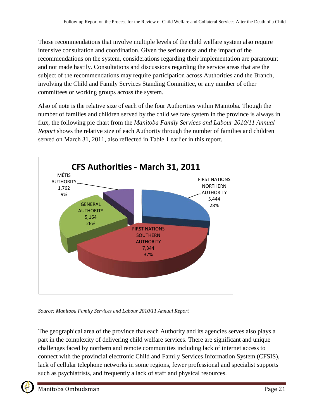Those recommendations that involve multiple levels of the child welfare system also require intensive consultation and coordination. Given the seriousness and the impact of the recommendations on the system, considerations regarding their implementation are paramount and not made hastily. Consultations and discussions regarding the service areas that are the subject of the recommendations may require participation across Authorities and the Branch, involving the Child and Family Services Standing Committee, or any number of other committees or working groups across the system.

Also of note is the relative size of each of the four Authorities within Manitoba. Though the number of families and children served by the child welfare system in the province is always in flux, the following pie chart from the *Manitoba Family Services and Labour 2010/11 Annual Report* shows the relative size of each Authority through the number of families and children served on March 31, 2011, also reflected in Table 1 earlier in this report.



*Source: Manitoba Family Services and Labour 2010/11 Annual Report*

The geographical area of the province that each Authority and its agencies serves also plays a part in the complexity of delivering child welfare services. There are significant and unique challenges faced by northern and remote communities including lack of internet access to connect with the provincial electronic Child and Family Services Information System (CFSIS), lack of cellular telephone networks in some regions, fewer professional and specialist supports such as psychiatrists, and frequently a lack of staff and physical resources.

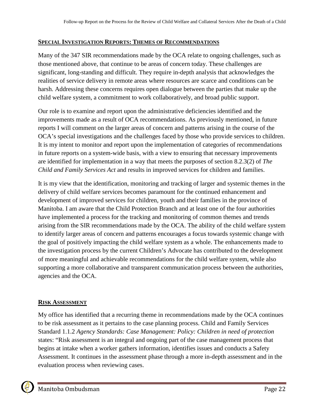#### **SPECIAL INVESTIGATION REPORTS: THEMES OF RECOMMENDATIONS**

Many of the 347 SIR recommendations made by the OCA relate to ongoing challenges, such as those mentioned above, that continue to be areas of concern today. These challenges are significant, long-standing and difficult. They require in-depth analysis that acknowledges the realities of service delivery in remote areas where resources are scarce and conditions can be harsh. Addressing these concerns requires open dialogue between the parties that make up the child welfare system, a commitment to work collaboratively, and broad public support.

Our role is to examine and report upon the administrative deficiencies identified and the improvements made as a result of OCA recommendations. As previously mentioned, in future reports I will comment on the larger areas of concern and patterns arising in the course of the OCA's special investigations and the challenges faced by those who provide services to children. It is my intent to monitor and report upon the implementation of categories of recommendations in future reports on a system-wide basis, with a view to ensuring that necessary improvements are identified for implementation in a way that meets the purposes of section 8.2.3(2) of *The Child and Family Services Act* and results in improved services for children and families.

It is my view that the identification, monitoring and tracking of larger and systemic themes in the delivery of child welfare services becomes paramount for the continued enhancement and development of improved services for children, youth and their families in the province of Manitoba. I am aware that the Child Protection Branch and at least one of the four authorities have implemented a process for the tracking and monitoring of common themes and trends arising from the SIR recommendations made by the OCA. The ability of the child welfare system to identify larger areas of concern and patterns encourages a focus towards systemic change with the goal of positively impacting the child welfare system as a whole. The enhancements made to the investigation process by the current Children's Advocate has contributed to the development of more meaningful and achievable recommendations for the child welfare system, while also supporting a more collaborative and transparent communication process between the authorities, agencies and the OCA.

#### **RISK ASSESSMENT**

My office has identified that a recurring theme in recommendations made by the OCA continues to be risk assessment as it pertains to the case planning process. Child and Family Services Standard 1.1.2 *Agency Standards: Case Management: Policy: Children in need of protection* states: "Risk assessment is an integral and ongoing part of the case management process that begins at intake when a worker gathers information, identifies issues and conducts a Safety Assessment. It continues in the assessment phase through a more in-depth assessment and in the evaluation process when reviewing cases.

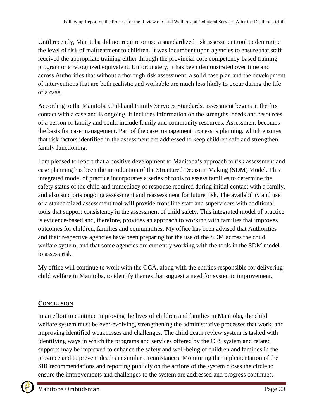Until recently, Manitoba did not require or use a standardized risk assessment tool to determine the level of risk of maltreatment to children. It was incumbent upon agencies to ensure that staff received the appropriate training either through the provincial core competency-based training program or a recognized equivalent. Unfortunately, it has been demonstrated over time and across Authorities that without a thorough risk assessment, a solid case plan and the development of interventions that are both realistic and workable are much less likely to occur during the life of a case.

According to the Manitoba Child and Family Services Standards, assessment begins at the first contact with a case and is ongoing. It includes information on the strengths, needs and resources of a person or family and could include family and community resources. Assessment becomes the basis for case management. Part of the case management process is planning, which ensures that risk factors identified in the assessment are addressed to keep children safe and strengthen family functioning.

I am pleased to report that a positive development to Manitoba's approach to risk assessment and case planning has been the introduction of the Structured Decision Making (SDM) Model. This integrated model of practice incorporates a series of tools to assess families to determine the safety status of the child and immediacy of response required during initial contact with a family, and also supports ongoing assessment and reassessment for future risk. The availability and use of a standardized assessment tool will provide front line staff and supervisors with additional tools that support consistency in the assessment of child safety. This integrated model of practice is evidence-based and, therefore, provides an approach to working with families that improves outcomes for children, families and communities. My office has been advised that Authorities and their respective agencies have been preparing for the use of the SDM across the child welfare system, and that some agencies are currently working with the tools in the SDM model to assess risk.

My office will continue to work with the OCA, along with the entities responsible for delivering child welfare in Manitoba, to identify themes that suggest a need for systemic improvement.

# **CONCLUSION**

In an effort to continue improving the lives of children and families in Manitoba, the child welfare system must be ever-evolving, strengthening the administrative processes that work, and improving identified weaknesses and challenges. The child death review system is tasked with identifying ways in which the programs and services offered by the CFS system and related supports may be improved to enhance the safety and well-being of children and families in the province and to prevent deaths in similar circumstances. Monitoring the implementation of the SIR recommendations and reporting publicly on the actions of the system closes the circle to ensure the improvements and challenges to the system are addressed and progress continues.

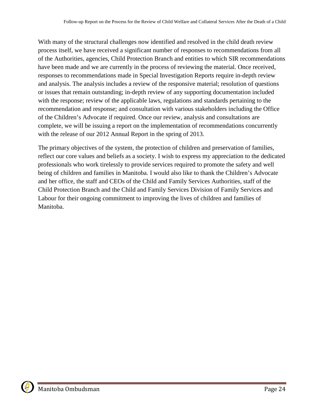With many of the structural challenges now identified and resolved in the child death review process itself, we have received a significant number of responses to recommendations from all of the Authorities, agencies, Child Protection Branch and entities to which SIR recommendations have been made and we are currently in the process of reviewing the material. Once received, responses to recommendations made in Special Investigation Reports require in-depth review and analysis. The analysis includes a review of the responsive material; resolution of questions or issues that remain outstanding; in-depth review of any supporting documentation included with the response; review of the applicable laws, regulations and standards pertaining to the recommendation and response; and consultation with various stakeholders including the Office of the Children's Advocate if required. Once our review, analysis and consultations are complete, we will be issuing a report on the implementation of recommendations concurrently with the release of our 2012 Annual Report in the spring of 2013.

The primary objectives of the system, the protection of children and preservation of families, reflect our core values and beliefs as a society. I wish to express my appreciation to the dedicated professionals who work tirelessly to provide services required to promote the safety and well being of children and families in Manitoba. I would also like to thank the Children's Advocate and her office, the staff and CEOs of the Child and Family Services Authorities, staff of the Child Protection Branch and the Child and Family Services Division of Family Services and Labour for their ongoing commitment to improving the lives of children and families of Manitoba.